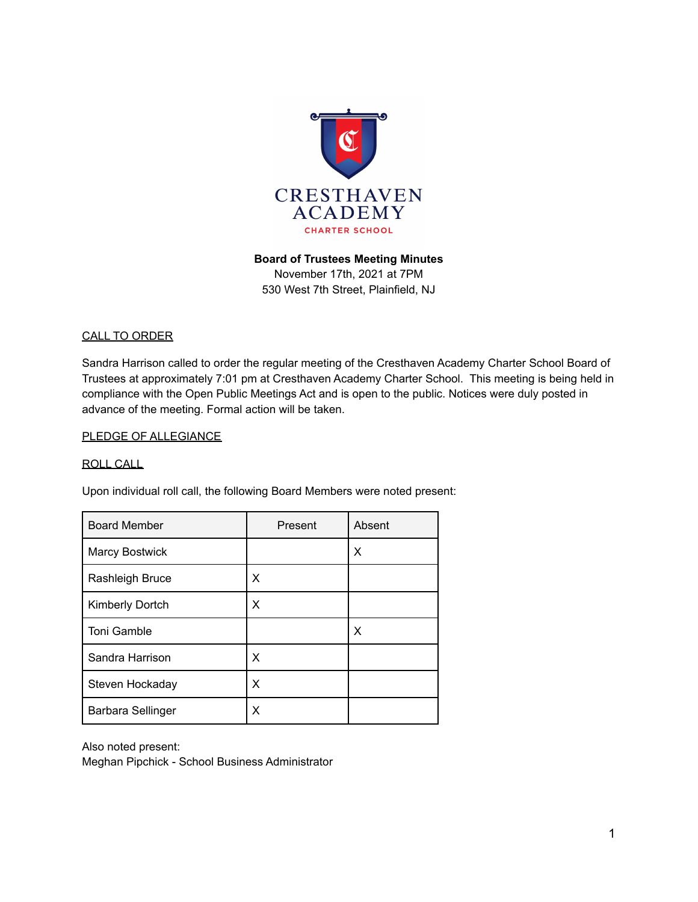

### **Board of Trustees Meeting Minutes**

November 17th, 2021 at 7PM 530 West 7th Street, Plainfield, NJ

#### CALL TO ORDER

Sandra Harrison called to order the regular meeting of the Cresthaven Academy Charter School Board of Trustees at approximately 7:01 pm at Cresthaven Academy Charter School. This meeting is being held in compliance with the Open Public Meetings Act and is open to the public. Notices were duly posted in advance of the meeting. Formal action will be taken.

#### PLEDGE OF ALLEGIANCE

#### ROLL CALL

Upon individual roll call, the following Board Members were noted present:

| <b>Board Member</b>    | Present | Absent |
|------------------------|---------|--------|
| <b>Marcy Bostwick</b>  |         | X      |
| Rashleigh Bruce        | X       |        |
| <b>Kimberly Dortch</b> | X       |        |
| <b>Toni Gamble</b>     |         | X      |
| Sandra Harrison        | X       |        |
| Steven Hockaday        | X       |        |
| Barbara Sellinger      | х       |        |

Also noted present:

Meghan Pipchick - School Business Administrator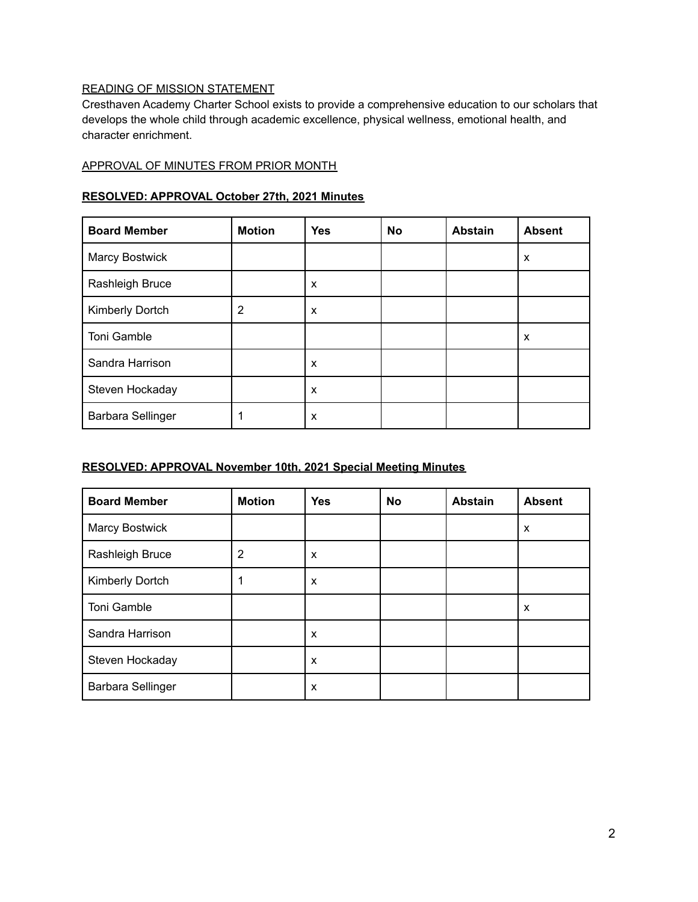# READING OF MISSION STATEMENT

Cresthaven Academy Charter School exists to provide a comprehensive education to our scholars that develops the whole child through academic excellence, physical wellness, emotional health, and character enrichment.

### APPROVAL OF MINUTES FROM PRIOR MONTH

#### **RESOLVED: APPROVAL October 27th, 2021 Minutes**

| <b>Board Member</b>      | <b>Motion</b> | <b>Yes</b> | <b>No</b> | <b>Abstain</b> | <b>Absent</b> |
|--------------------------|---------------|------------|-----------|----------------|---------------|
| <b>Marcy Bostwick</b>    |               |            |           |                | X             |
| Rashleigh Bruce          |               | X          |           |                |               |
| Kimberly Dortch          | 2             | X          |           |                |               |
| Toni Gamble              |               |            |           |                | X             |
| Sandra Harrison          |               | X          |           |                |               |
| Steven Hockaday          |               | X          |           |                |               |
| <b>Barbara Sellinger</b> |               | X          |           |                |               |

### **RESOLVED: APPROVAL November 10th, 2021 Special Meeting Minutes**

| <b>Board Member</b>      | <b>Motion</b> | <b>Yes</b> | <b>No</b> | <b>Abstain</b> | <b>Absent</b> |
|--------------------------|---------------|------------|-----------|----------------|---------------|
| Marcy Bostwick           |               |            |           |                | X             |
| Rashleigh Bruce          | 2             | X          |           |                |               |
| Kimberly Dortch          |               | х          |           |                |               |
| Toni Gamble              |               |            |           |                | X             |
| Sandra Harrison          |               | X          |           |                |               |
| Steven Hockaday          |               | X          |           |                |               |
| <b>Barbara Sellinger</b> |               | X          |           |                |               |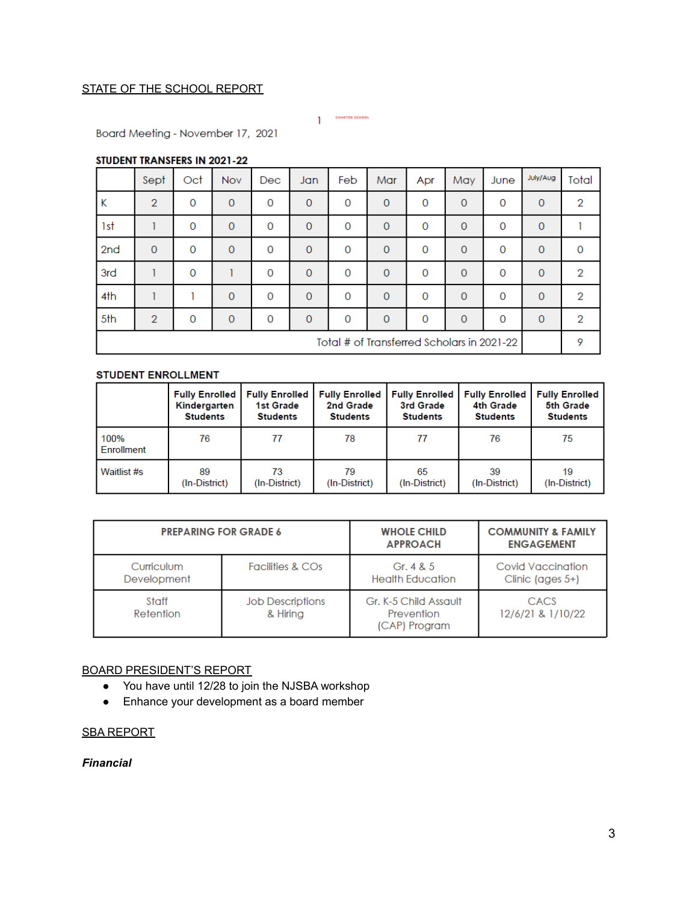# STATE OF THE SCHOOL REPORT

CHARTER SCHOOL

Board Meeting - November 17, 2021

#### STUDENT TRANSFERS IN 2021-22

|                                            | Sept           | Oct         | <b>Nov</b>   | Dec      | Jan          | Feb      | Mar          | Apr      | May            | June     | July/Aug     | Total        |
|--------------------------------------------|----------------|-------------|--------------|----------|--------------|----------|--------------|----------|----------------|----------|--------------|--------------|
| Κ                                          | $\overline{2}$ | $\mathbf 0$ | $\mathbf{O}$ | 0        | $\mathbf{0}$ | 0        | $\mathbf{0}$ | 0        | $\overline{0}$ | 0        | $\mathbf{0}$ | 2            |
| 1st                                        |                | $\mathbf 0$ | $\mathbf 0$  | 0        | $\mathbf 0$  | 0        | $\mathbf{0}$ | 0        | $\mathbf 0$    | 0        | $\mathbf 0$  |              |
| 2 <sub>nd</sub>                            | $\mathbf{0}$   | $\mathbf 0$ | $\mathbf{O}$ | 0        | $\mathbf{O}$ | 0        | $\Omega$     | 0        | $\overline{0}$ | 0        | $\mathbf{0}$ | $\mathbf{0}$ |
| 3rd                                        |                | $\mathbf 0$ |              | 0        | $\mathbf{0}$ | 0        | $\mathbf{0}$ | 0        | $\overline{0}$ | 0        | $\mathbf{0}$ | 2            |
| 4th                                        |                |             | $\Omega$     | 0        | $\Omega$     | $\Omega$ | $\mathbf{0}$ | 0        | $\mathbf 0$    | 0        | $\Omega$     | 2            |
| 5th                                        | $\overline{2}$ | $\Omega$    | $\Omega$     | $\Omega$ | $\Omega$     | $\Omega$ | $\Omega$     | $\Omega$ | $\Omega$       | $\Omega$ | $\Omega$     | 2            |
| Total # of Transferred Scholars in 2021-22 |                |             |              |          |              |          |              | 9        |                |          |              |              |

#### **STUDENT ENROLLMENT**

|                    | <b>Fully Enrolled</b> | <b>Fully Enrolled</b> | <b>Fully Enrolled</b> | <b>Fully Enrolled</b> | <b>Fully Enrolled</b> | <b>Fully Enrolled</b> |
|--------------------|-----------------------|-----------------------|-----------------------|-----------------------|-----------------------|-----------------------|
|                    | Kindergarten          | <b>1st Grade</b>      | 2nd Grade             | 3rd Grade             | 4th Grade             | 5th Grade             |
|                    | <b>Students</b>       | <b>Students</b>       | <b>Students</b>       | <b>Students</b>       | <b>Students</b>       | <b>Students</b>       |
| 100%<br>Enrollment | 76                    | 77                    | 78                    | 77                    | 76                    | 75                    |
| Waitlist #s        | 89                    | 73                    | 79                    | 65                    | 39                    | 19                    |
|                    | (In-District)         | (In-District)         | (In-District)         | (In-District)         | (In-District)         | (In-District)         |

|                           | <b>PREPARING FOR GRADE 6</b>        | <b>WHOLE CHILD</b><br><b>APPROACH</b>                | <b>COMMUNITY &amp; FAMILY</b><br><b>ENGAGEMENT</b> |
|---------------------------|-------------------------------------|------------------------------------------------------|----------------------------------------------------|
| Curriculum<br>Development | <b>Facilities &amp; COs</b>         | Gr. $4 & 5$<br><b>Health Education</b>               | Covid Vaccination<br>Clinic (ages $5+$ )           |
| Staff<br>Retention        | <b>Job Descriptions</b><br>& Hiring | Gr. K-5 Child Assault<br>Prevention<br>(CAP) Program | CACS<br>12/6/21 & 1/10/22                          |

# BOARD PRESIDENT'S REPORT

- You have until 12/28 to join the NJSBA workshop
- Enhance your development as a board member

#### SBA REPORT

*Financial*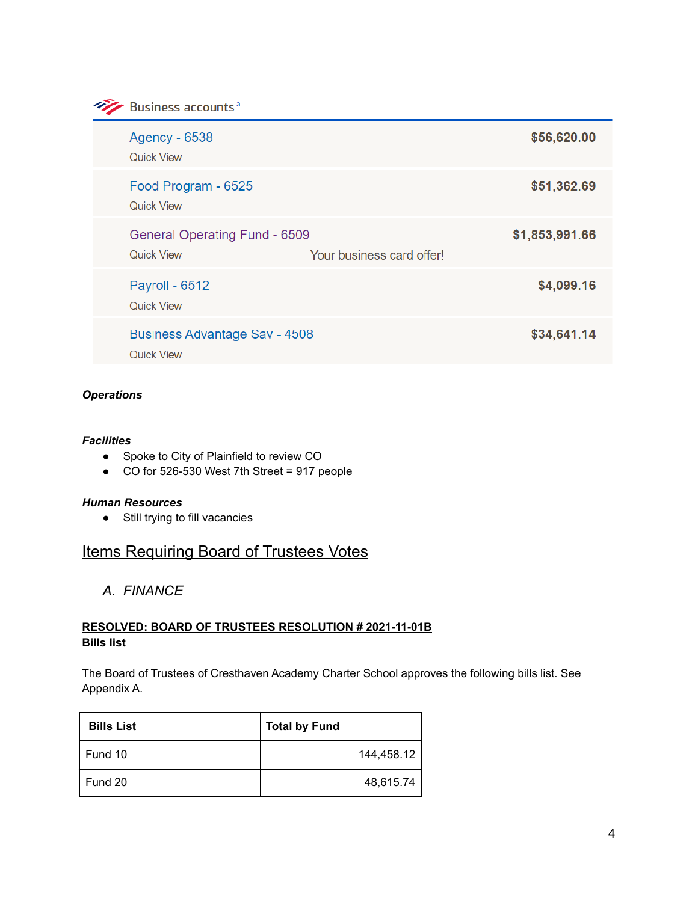**Example 3** Business accounts<sup>a</sup>

| <b>Agency - 6538</b><br><b>Quick View</b>                                       | \$56,620.00    |
|---------------------------------------------------------------------------------|----------------|
| Food Program - 6525<br><b>Quick View</b>                                        | \$51,362.69    |
| General Operating Fund - 6509<br><b>Quick View</b><br>Your business card offer! | \$1,853,991.66 |
| Payroll - 6512<br><b>Quick View</b>                                             | \$4,099.16     |
| <b>Business Advantage Sav - 4508</b><br><b>Quick View</b>                       | \$34,641.14    |

### *Operations*

#### *Facilities*

- Spoke to City of Plainfield to review CO
- CO for 526-530 West 7th Street = 917 people

#### *Human Resources*

● Still trying to fill vacancies

# **Items Requiring Board of Trustees Votes**

*A. FINANCE*

#### **RESOLVED: BOARD OF TRUSTEES RESOLUTION # 2021-11-01B Bills list**

The Board of Trustees of Cresthaven Academy Charter School approves the following bills list. See Appendix A.

| <b>Bills List</b> | <b>Total by Fund</b> |
|-------------------|----------------------|
| l Fund 10         | 144,458.12           |
| Fund 20           | 48,615.74            |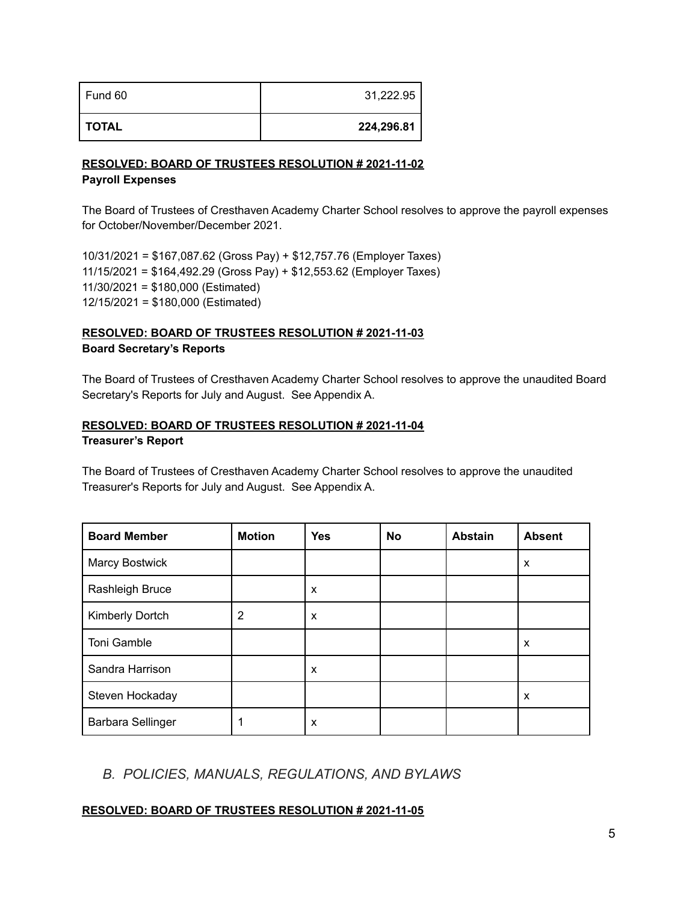| Fund 60 | 31,222.95  |
|---------|------------|
| TOTAL   | 224,296.81 |

#### **RESOLVED: BOARD OF TRUSTEES RESOLUTION # 2021-11-02 Payroll Expenses**

The Board of Trustees of Cresthaven Academy Charter School resolves to approve the payroll expenses for October/November/December 2021.

10/31/2021 = \$167,087.62 (Gross Pay) + \$12,757.76 (Employer Taxes) 11/15/2021 = \$164,492.29 (Gross Pay) + \$12,553.62 (Employer Taxes) 11/30/2021 = \$180,000 (Estimated) 12/15/2021 = \$180,000 (Estimated)

# **RESOLVED: BOARD OF TRUSTEES RESOLUTION # 2021-11-03 Board Secretary's Reports**

The Board of Trustees of Cresthaven Academy Charter School resolves to approve the unaudited Board Secretary's Reports for July and August. See Appendix A.

# **RESOLVED: BOARD OF TRUSTEES RESOLUTION # 2021-11-04 Treasurer's Report**

The Board of Trustees of Cresthaven Academy Charter School resolves to approve the unaudited Treasurer's Reports for July and August. See Appendix A.

| <b>Board Member</b> | <b>Motion</b> | <b>Yes</b> | No | <b>Abstain</b> | <b>Absent</b> |
|---------------------|---------------|------------|----|----------------|---------------|
| Marcy Bostwick      |               |            |    |                | X             |
| Rashleigh Bruce     |               | X          |    |                |               |
| Kimberly Dortch     | 2             | X          |    |                |               |
| Toni Gamble         |               |            |    |                | X             |
| Sandra Harrison     |               | X          |    |                |               |
| Steven Hockaday     |               |            |    |                | X             |
| Barbara Sellinger   |               | X          |    |                |               |

# *B. POLICIES, MANUALS, REGULATIONS, AND BYLAWS*

# **RESOLVED: BOARD OF TRUSTEES RESOLUTION # 2021-11-05**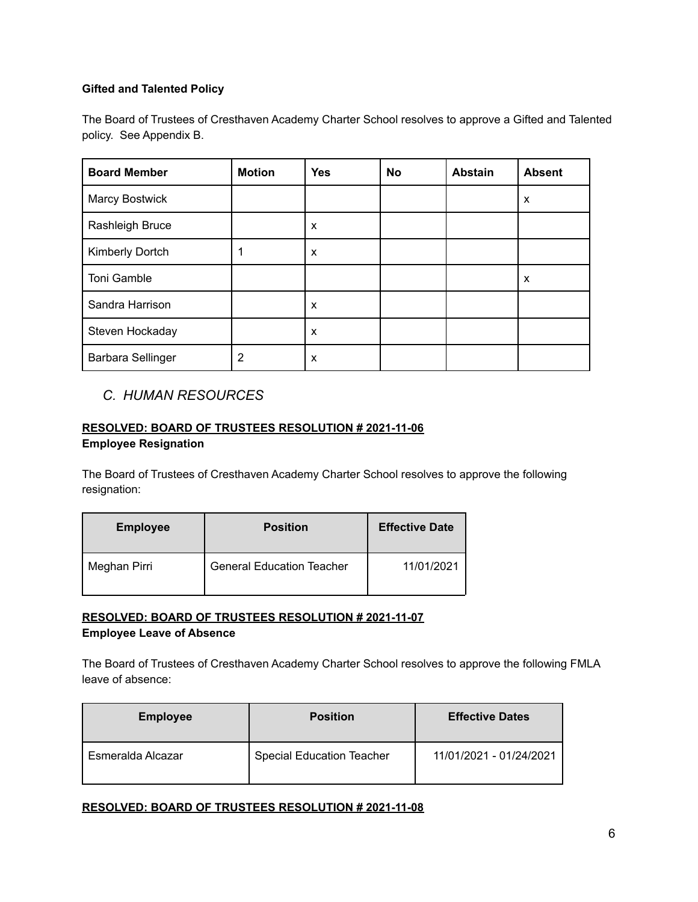# **Gifted and Talented Policy**

The Board of Trustees of Cresthaven Academy Charter School resolves to approve a Gifted and Talented policy. See Appendix B.

| <b>Board Member</b>   | <b>Motion</b> | <b>Yes</b> | <b>No</b> | <b>Abstain</b> | <b>Absent</b> |
|-----------------------|---------------|------------|-----------|----------------|---------------|
| <b>Marcy Bostwick</b> |               |            |           |                | X             |
| Rashleigh Bruce       |               | X          |           |                |               |
| Kimberly Dortch       |               | X          |           |                |               |
| Toni Gamble           |               |            |           |                | X             |
| Sandra Harrison       |               | X          |           |                |               |
| Steven Hockaday       |               | X          |           |                |               |
| Barbara Sellinger     | 2             | X          |           |                |               |

# *C. HUMAN RESOURCES*

# **RESOLVED: BOARD OF TRUSTEES RESOLUTION # 2021-11-06 Employee Resignation**

The Board of Trustees of Cresthaven Academy Charter School resolves to approve the following resignation:

| <b>Employee</b> | <b>Position</b>                  | <b>Effective Date</b> |
|-----------------|----------------------------------|-----------------------|
| Meghan Pirri    | <b>General Education Teacher</b> | 11/01/2021            |

## **RESOLVED: BOARD OF TRUSTEES RESOLUTION # 2021-11-07 Employee Leave of Absence**

The Board of Trustees of Cresthaven Academy Charter School resolves to approve the following FMLA leave of absence:

| <b>Employee</b>   | <b>Position</b>                  | <b>Effective Dates</b>  |  |  |
|-------------------|----------------------------------|-------------------------|--|--|
| Esmeralda Alcazar | <b>Special Education Teacher</b> | 11/01/2021 - 01/24/2021 |  |  |

### **RESOLVED: BOARD OF TRUSTEES RESOLUTION # 2021-11-08**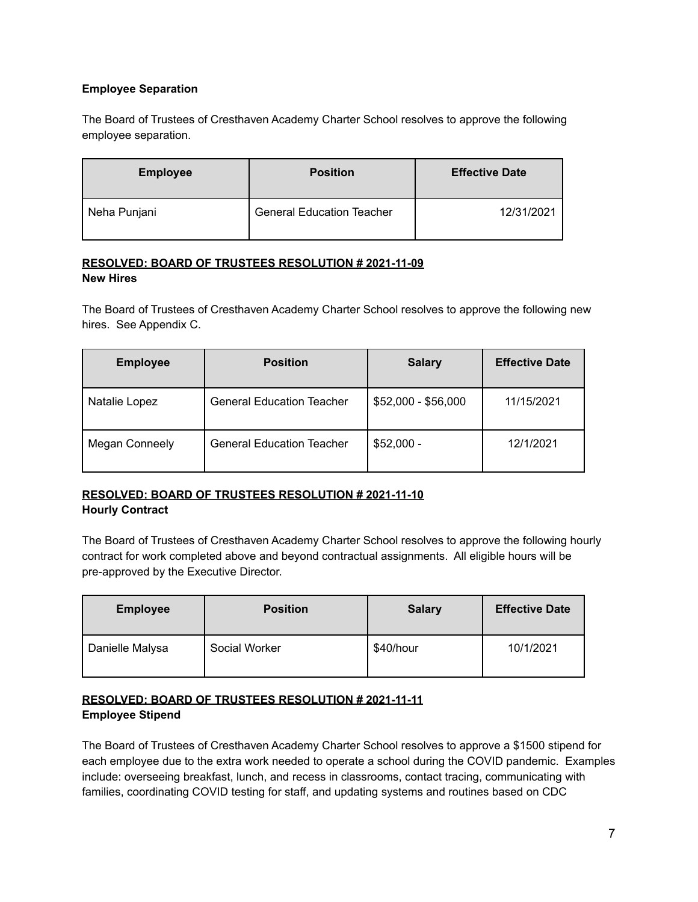## **Employee Separation**

The Board of Trustees of Cresthaven Academy Charter School resolves to approve the following employee separation.

| <b>Employee</b> | <b>Position</b>                  | <b>Effective Date</b> |  |  |
|-----------------|----------------------------------|-----------------------|--|--|
| Neha Punjani    | <b>General Education Teacher</b> | 12/31/2021            |  |  |

#### **RESOLVED: BOARD OF TRUSTEES RESOLUTION # 2021-11-09 New Hires**

The Board of Trustees of Cresthaven Academy Charter School resolves to approve the following new hires. See Appendix C.

| <b>Employee</b>       | <b>Position</b>                  | <b>Salary</b>       | <b>Effective Date</b> |  |
|-----------------------|----------------------------------|---------------------|-----------------------|--|
| Natalie Lopez         | <b>General Education Teacher</b> | $$52,000 - $56,000$ | 11/15/2021            |  |
| <b>Megan Conneely</b> | <b>General Education Teacher</b> | $$52,000 -$         | 12/1/2021             |  |

# **RESOLVED: BOARD OF TRUSTEES RESOLUTION # 2021-11-10 Hourly Contract**

The Board of Trustees of Cresthaven Academy Charter School resolves to approve the following hourly contract for work completed above and beyond contractual assignments. All eligible hours will be pre-approved by the Executive Director.

| <b>Employee</b> | <b>Position</b> | <b>Salary</b> | <b>Effective Date</b> |  |
|-----------------|-----------------|---------------|-----------------------|--|
| Danielle Malysa | Social Worker   | \$40/hour     | 10/1/2021             |  |

# **RESOLVED: BOARD OF TRUSTEES RESOLUTION # 2021-11-11 Employee Stipend**

The Board of Trustees of Cresthaven Academy Charter School resolves to approve a \$1500 stipend for each employee due to the extra work needed to operate a school during the COVID pandemic. Examples include: overseeing breakfast, lunch, and recess in classrooms, contact tracing, communicating with families, coordinating COVID testing for staff, and updating systems and routines based on CDC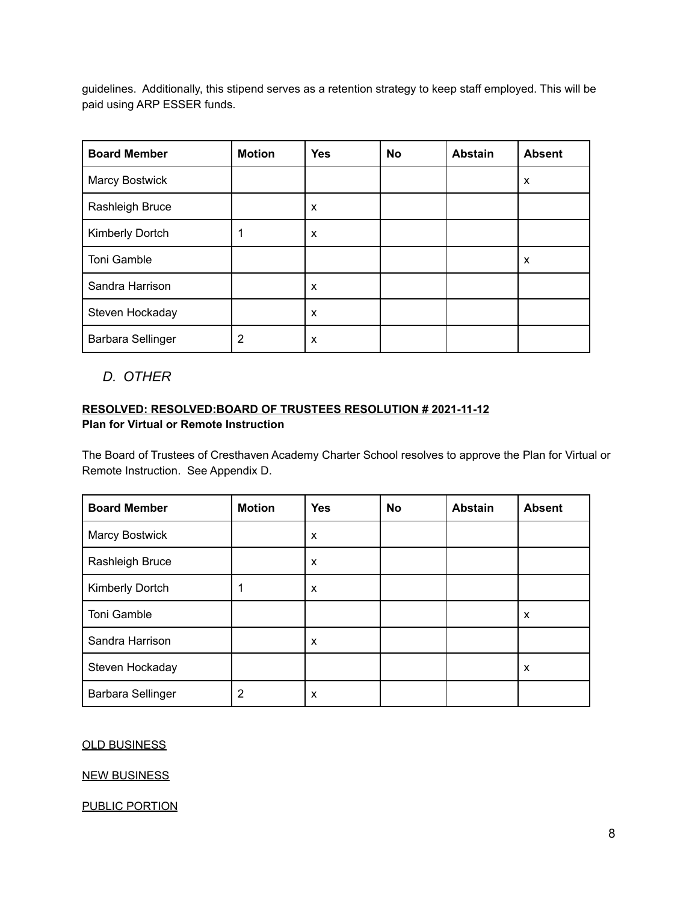guidelines. Additionally, this stipend serves as a retention strategy to keep staff employed. This will be paid using ARP ESSER funds.

| <b>Board Member</b> | <b>Motion</b> | <b>Yes</b> | <b>No</b> | <b>Abstain</b> | <b>Absent</b> |
|---------------------|---------------|------------|-----------|----------------|---------------|
| Marcy Bostwick      |               |            |           |                | X             |
| Rashleigh Bruce     |               | X          |           |                |               |
| Kimberly Dortch     |               | X          |           |                |               |
| Toni Gamble         |               |            |           |                | X             |
| Sandra Harrison     |               | X          |           |                |               |
| Steven Hockaday     |               | X          |           |                |               |
| Barbara Sellinger   | 2             | X          |           |                |               |

*D. OTHER*

## **RESOLVED: RESOLVED:BOARD OF TRUSTEES RESOLUTION # 2021-11-12 Plan for Virtual or Remote Instruction**

The Board of Trustees of Cresthaven Academy Charter School resolves to approve the Plan for Virtual or Remote Instruction. See Appendix D.

| <b>Board Member</b>      | <b>Motion</b> | <b>Yes</b> | <b>No</b> | <b>Abstain</b> | <b>Absent</b> |
|--------------------------|---------------|------------|-----------|----------------|---------------|
| <b>Marcy Bostwick</b>    |               | X          |           |                |               |
| Rashleigh Bruce          |               | X          |           |                |               |
| Kimberly Dortch          |               | X          |           |                |               |
| Toni Gamble              |               |            |           |                | X             |
| Sandra Harrison          |               | X          |           |                |               |
| Steven Hockaday          |               |            |           |                | X             |
| <b>Barbara Sellinger</b> | 2             | X          |           |                |               |

# OLD BUSINESS

#### NEW BUSINESS

PUBLIC PORTION